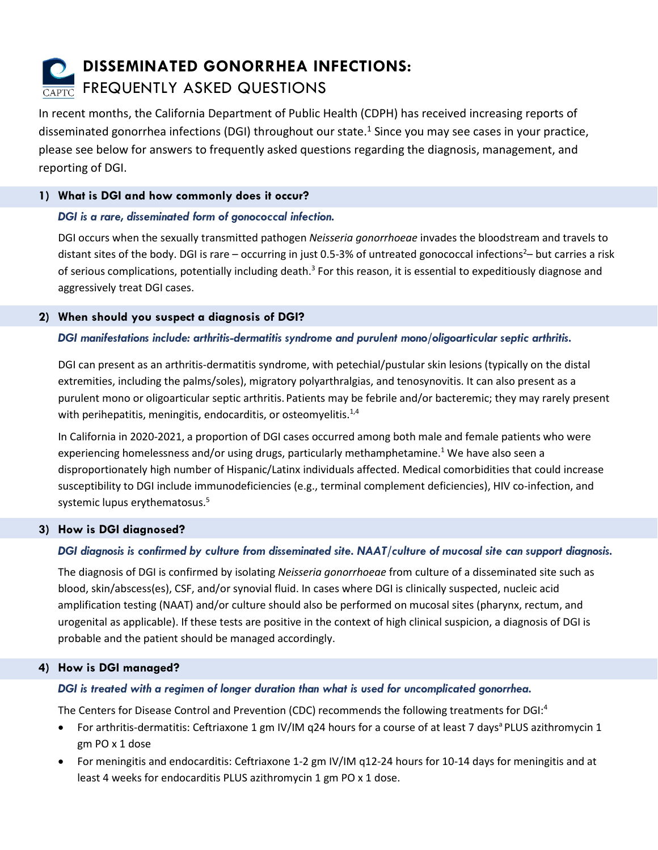# **DISSEMINATED GONORRHEA INFECTIONS: CAPTC FREQUENTLY ASKED QUESTIONS**

In recent months, the California Department of Public Health (CDPH) has received increasing reports of disseminated gonorrhea infections (DGI) throughout our state.<sup>1</sup> Since you may see cases in your practice, please see below for answers to frequently asked questions regarding the diagnosis, management, and reporting of DGI.

## **1) What is DGI and how commonly does it occur?**

# *DGI is a rare, disseminated form of gonococcal infection.*

DGI occurs when the sexually transmitted pathogen *Neisseria gonorrhoeae* invades the bloodstream and travels to distant sites of the body. DGI is rare – occurring in just 0.5-3% of untreated gonococcal infections<sup>2</sup>– but carries a risk of serious complications, potentially including death.<sup>3</sup> For this reason, it is essential to expeditiously diagnose and aggressively treat DGI cases.

## **2) When should you suspect a diagnosis of DGI?**

# *DGI manifestations include: arthritis-dermatitis syndrome and purulent mono/oligoarticular septic arthritis.*

DGI can present as an arthritis-dermatitis syndrome, with petechial/pustular skin lesions (typically on the distal extremities, including the palms/soles), migratory polyarthralgias, and tenosynovitis. It can also present as a purulent mono or oligoarticular septic arthritis. Patients may be febrile and/or bacteremic; they may rarely present with perihepatitis, meningitis, endocarditis, or osteomyelitis.<sup>1,4</sup>

In California in 2020-2021, a proportion of DGI cases occurred among both male and female patients who were experiencing homelessness and/or using drugs, particularly methamphetamine.<sup>1</sup> We have also seen a disproportionately high number of Hispanic/Latinx individuals affected. Medical comorbidities that could increase susceptibility to DGI include immunodeficiencies (e.g., terminal complement deficiencies), HIV co-infection, and systemic lupus erythematosus.<sup>5</sup>

## **3) How is DGI diagnosed?**

# *DGI diagnosis is confirmed by culture from disseminated site. NAAT/culture of mucosal site can support diagnosis.*

The diagnosis of DGI is confirmed by isolating *Neisseria gonorrhoeae* from culture of a disseminated site such as blood, skin/abscess(es), CSF, and/or synovial fluid. In cases where DGI is clinically suspected, nucleic acid amplification testing (NAAT) and/or culture should also be performed on mucosal sites (pharynx, rectum, and urogenital as applicable). If these tests are positive in the context of high clinical suspicion, a diagnosis of DGI is probable and the patient should be managed accordingly.

## **4) How is DGI managed?**

# *DGI is treated with a regimen of longer duration than what is used for uncomplicated gonorrhea.*

The Centers for Disease Control and Prevention (CDC) recommends the following treatments for DGI:<sup>4</sup>

- For arthritis-dermatitis: Ceftriaxone 1 gm IV/IM q24 hours for a course of at least 7 days<sup>a</sup> PLUS azithromycin 1 gm PO x 1 dose
- For meningitis and endocarditis: Ceftriaxone 1-2 gm IV/IM q12-24 hours for 10-14 days for meningitis and at least 4 weeks for endocarditis PLUS azithromycin 1 gm PO x 1 dose.